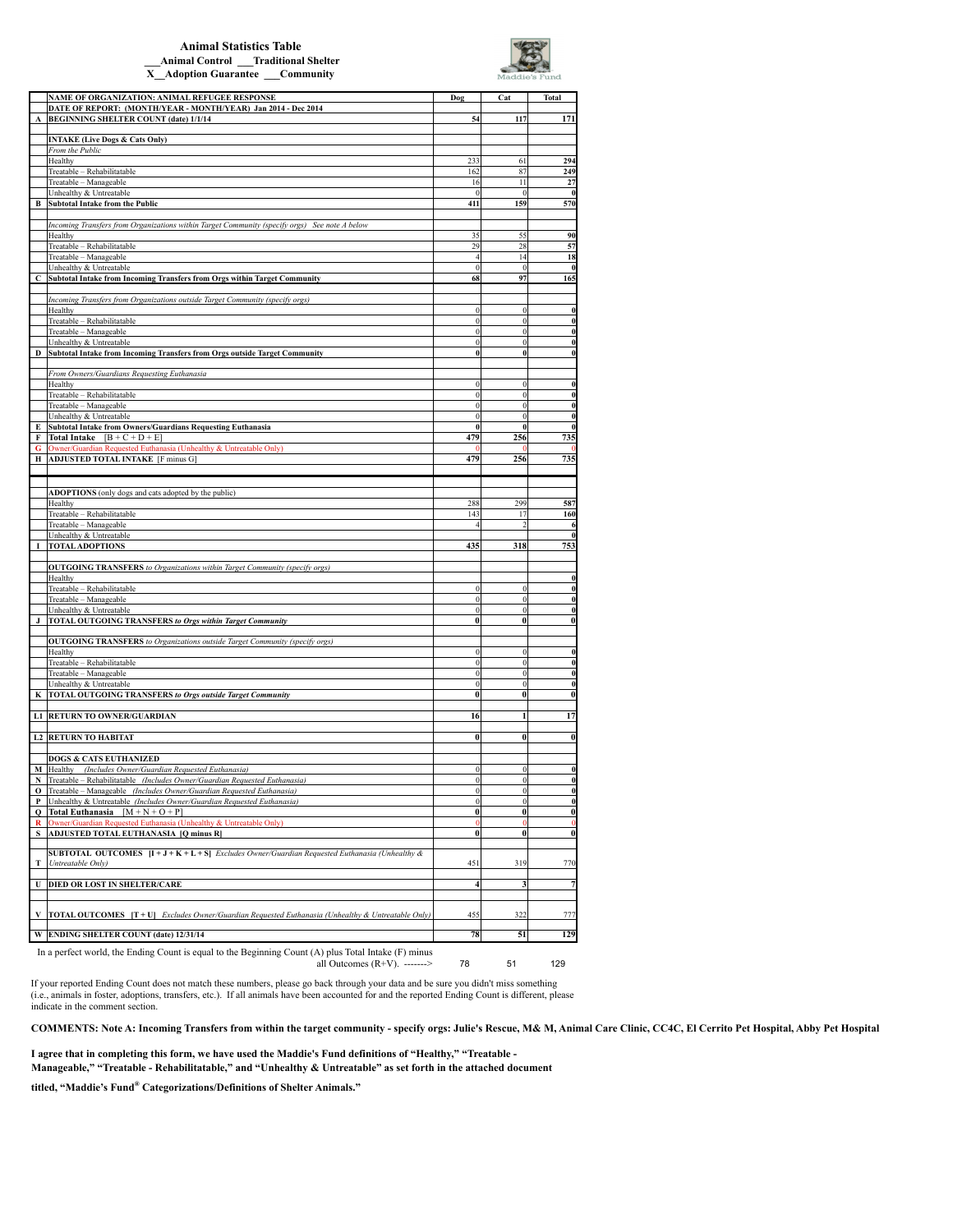## **Animal Statistics Table \_\_\_Animal Control \_\_\_Traditional Shelter X\_\_Adoption Guarantee \_\_\_Community**



|   | NAME OF ORGANIZATION: ANIMAL REFUGEE RESPONSE                                                            | Dog                     | Cat          | <b>Total</b>  |
|---|----------------------------------------------------------------------------------------------------------|-------------------------|--------------|---------------|
|   | DATE OF REPORT: (MONTH/YEAR - MONTH/YEAR) Jan 2014 - Dec 2014                                            |                         |              |               |
|   | A BEGINNING SHELTER COUNT (date) 1/1/14                                                                  | 54                      | 117          | 171           |
|   |                                                                                                          |                         |              |               |
|   | <b>INTAKE (Live Dogs &amp; Cats Only)</b>                                                                |                         |              |               |
|   | From the Public                                                                                          |                         |              |               |
|   | Healthy                                                                                                  | 233                     | 61           | 294           |
|   | Treatable - Rehabilitatable                                                                              | 162                     | 87           | 249           |
|   | Treatable - Manageable                                                                                   | 16                      | 11           | 27            |
|   | Unhealthy & Untreatable                                                                                  | $\mathbf{0}$            | $\theta$     | $\theta$      |
|   | <b>B</b> Subtotal Intake from the Public                                                                 | 411                     | 159          | 570           |
|   |                                                                                                          |                         |              |               |
|   | Incoming Transfers from Organizations within Target Community (specify orgs) See note A below            |                         |              |               |
|   | Healthy                                                                                                  | 35                      | 55           | 90            |
|   | Treatable - Rehabilitatable                                                                              | 29                      | 28           | 57            |
|   | Treatable - Manageable                                                                                   | $\overline{4}$          | 14           | 18            |
|   | Unhealthy & Untreatable                                                                                  | $\mathbf{0}$            | $\theta$     | $\theta$      |
| C | Subtotal Intake from Incoming Transfers from Orgs within Target Community                                | 68                      | 97           | 165           |
|   |                                                                                                          |                         |              |               |
|   | Incoming Transfers from Organizations outside Target Community (specify orgs)                            |                         |              |               |
|   | Healthy                                                                                                  | $\theta$                |              | $\bf{0}$      |
|   | Treatable - Rehabilitatable                                                                              | $\mathbf{0}$            | $\theta$     | $\bf{0}$      |
|   | Treatable - Manageable                                                                                   | $\overline{0}$          | $\bf{0}$     | $\bf{0}$      |
|   | Unhealthy & Untreatable                                                                                  | $\mathbf{0}$            | $\mathbf{0}$ | $\bf{0}$      |
| D | Subtotal Intake from Incoming Transfers from Orgs outside Target Community                               |                         | $\bf{0}$     | $\bf{0}$      |
|   |                                                                                                          |                         |              |               |
|   | From Owners/Guardians Requesting Euthanasia                                                              |                         |              |               |
|   | Healthy                                                                                                  | $\theta$                |              | $\bf{0}$      |
|   | Treatable - Rehabilitatable                                                                              | $\theta$                | $\theta$     | $\bf{0}$      |
|   | Treatable - Manageable                                                                                   | $\mathbf{0}$            | $\theta$     | $\bf{0}$      |
|   | Unhealthy & Untreatable                                                                                  | $\boldsymbol{0}$        | $\theta$     | $\bf{0}$      |
| E | Subtotal Intake from Owners/Guardians Requesting Euthanasia                                              | $\theta$                | $\theta$     | $\bf{0}$      |
|   | <b>F</b> Total Intake $[B + C + D + E]$                                                                  | 479                     | 256          | 735           |
| G | Owner/Guardian Requested Euthanasia (Unhealthy & Untreatable Only)                                       |                         |              |               |
|   | H ADJUSTED TOTAL INTAKE [F minus G]                                                                      | 479                     | 256          | 735           |
|   |                                                                                                          |                         |              |               |
|   |                                                                                                          |                         |              |               |
|   |                                                                                                          |                         |              |               |
|   | ADOPTIONS (only dogs and cats adopted by the public)<br>Healthy                                          | 288                     | 299          | 587           |
|   |                                                                                                          |                         |              |               |
|   | Treatable - Rehabilitatable                                                                              | 143                     | 17           | 160           |
|   | Treatable - Manageable                                                                                   |                         |              | 6<br>$\bf{0}$ |
|   | Unhealthy & Untreatable                                                                                  |                         |              |               |
|   | I TOTAL ADOPTIONS                                                                                        | 435                     | 318          | 753           |
|   |                                                                                                          |                         |              |               |
|   | OUTGOING TRANSFERS to Organizations within Target Community (specify orgs)                               |                         |              |               |
|   | Healthy                                                                                                  |                         |              | $\bf{0}$      |
|   | Treatable - Rehabilitatable                                                                              | $\boldsymbol{0}$        | $\Omega$     | $\bf{0}$      |
|   | Treatable - Manageable                                                                                   | $\overline{0}$          |              |               |
|   | Unhealthy & Untreatable                                                                                  |                         | $\theta$     | $\bf{0}$      |
|   |                                                                                                          | $\boldsymbol{0}$        | $\bf{0}$     | $\bf{0}$      |
|   | J  TOTAL OUTGOING TRANSFERS to Orgs within Target Community                                              | $\bf{0}$                | $\bf{0}$     | 0             |
|   |                                                                                                          |                         |              |               |
|   | <b>OUTGOING TRANSFERS</b> to Organizations outside Target Community (specify orgs)                       |                         |              |               |
|   | Healthy                                                                                                  | $\theta$                | $\Omega$     | $\bf{0}$      |
|   | Treatable - Rehabilitatable                                                                              | $\boldsymbol{0}$        | $\Omega$     | $\bf{0}$      |
|   | Treatable - Manageable                                                                                   | $\overline{0}$          | $\theta$     | $\bf{0}$      |
|   | Unhealthy & Untreatable                                                                                  | $\boldsymbol{0}$        | 0            | $\bf{0}$      |
|   | K  TOTAL OUTGOING TRANSFERS to Orgs outside Target Community                                             | $\bf{0}$                | $\bf{0}$     | 0             |
|   |                                                                                                          |                         |              |               |
|   | L1 RETURN TO OWNER/GUARDIAN                                                                              | 16                      |              | 17            |
|   |                                                                                                          |                         |              |               |
|   | <b>L2 RETURN TO HABITAT</b>                                                                              | $\bf{0}$                | $\bf{0}$     | $\bf{0}$      |
|   |                                                                                                          |                         |              |               |
|   | <b>DOGS &amp; CATS EUTHANIZED</b>                                                                        |                         |              |               |
|   | $\bf{M}$ Healthy<br>(Includes Owner/Guardian Requested Euthanasia)                                       | $\mathbf{0}$            | $\mathbf{0}$ | $\bf{0}$      |
|   | N Treatable – Rehabilitatable (Includes Owner/Guardian Requested Euthanasia)                             |                         |              | $\bf{0}$      |
|   | O Treatable - Manageable (Includes Owner/Guardian Requested Euthanasia)                                  | $\boldsymbol{0}$        | $\bf{0}$     | $\bf{0}$      |
|   | P Unhealthy & Untreatable (Includes Owner/Guardian Requested Euthanasia)                                 | $\overline{0}$          | $\theta$     | $\bf{0}$      |
|   | Q   Total Euthanasia $[M + N + O + P]$                                                                   | $\overline{0}$          | $\bf{0}$     | 0             |
|   | R Owner/Guardian Requested Euthanasia (Unhealthy & Untreatable Only)                                     | $\bf{0}$                |              | $\bf{0}$      |
| S | ADJUSTED TOTAL EUTHANASIA [Q minus R]                                                                    | $\mathbf{0}$            | $\bf{0}$     | $\bf{0}$      |
|   |                                                                                                          |                         |              |               |
|   | <b>SUBTOTAL OUTCOMES</b> $[I + J + K + L + S]$ Excludes Owner/Guardian Requested Euthanasia (Unhealthy & |                         |              |               |
|   | T   Untreatable Only)                                                                                    | 451                     | 319          | 770           |
|   |                                                                                                          |                         |              |               |
|   | <b>U DIED OR LOST IN SHELTER/CARE</b>                                                                    | $\overline{\mathbf{4}}$ | 3            | 7             |
|   |                                                                                                          |                         |              |               |
|   |                                                                                                          |                         |              |               |
|   | V  TOTAL OUTCOMES $[T+U]$ Excludes Owner/Guardian Requested Euthanasia (Unhealthy & Untreatable Only)    | 455                     | 322          | 777           |
| W | <b>ENDING SHELTER COUNT (date) 12/31/14</b>                                                              | 78                      | 51           | 129           |

78 51 129 In a perfect world, the Ending Count is equal to the Beginning Count (A) plus Total Intake (F) minus all Outcomes  $(R+V)$ . ------->

If your reported Ending Count does not match these numbers, please go back through your data and be sure you didn't miss something<br>(i.e., animals in foster, adoptions, transfers, etc.). If all animals have been accounted f indicate in the comment section.

**COMMENTS: Note A: Incoming Transfers from within the target community - specify orgs: Julie's Rescue, M& M, Animal Care Clinic, CC4C, El Cerrito Pet Hospital, Abby Pet Hospital**

**I agree that in completing this form, we have used the Maddie's Fund definitions of "Healthy," "Treatable -** 

**Manageable," "Treatable - Rehabilitatable," and "Unhealthy & Untreatable" as set forth in the attached document** 

**titled, "Maddie's Fund® Categorizations/Definitions of Shelter Animals."**